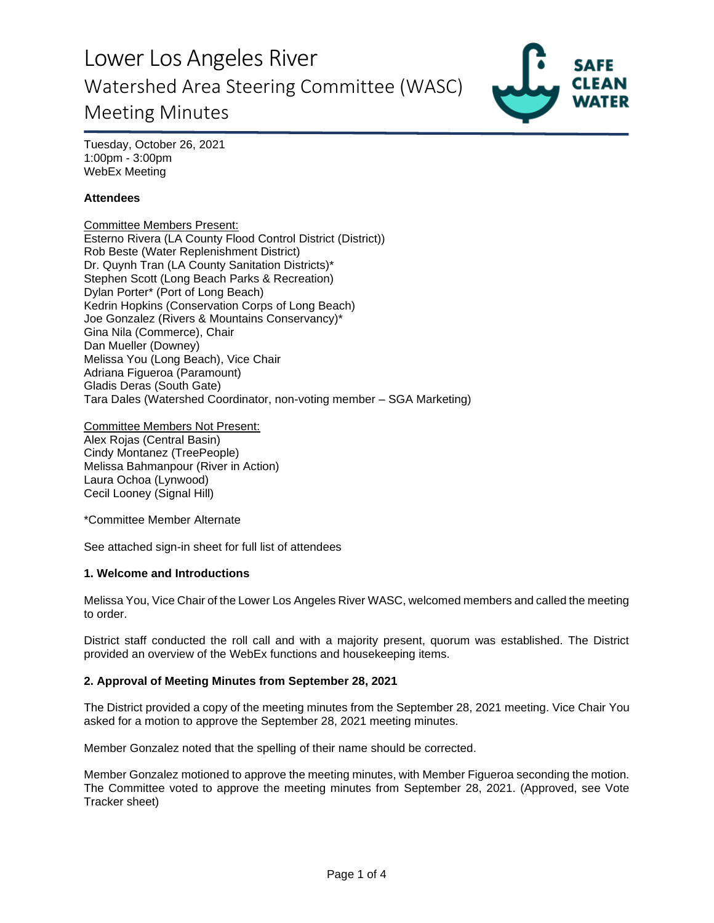Lower Los Angeles River Watershed Area Steering Committee (WASC) Meeting Minutes



Tuesday, October 26, 2021 1:00pm - 3:00pm WebEx Meeting

# **Attendees**

Committee Members Present: Esterno Rivera (LA County Flood Control District (District)) Rob Beste (Water Replenishment District) Dr. Quynh Tran (LA County Sanitation Districts)\* Stephen Scott (Long Beach Parks & Recreation) Dylan Porter\* (Port of Long Beach) Kedrin Hopkins (Conservation Corps of Long Beach) Joe Gonzalez (Rivers & Mountains Conservancy)\* Gina Nila (Commerce), Chair Dan Mueller (Downey) Melissa You (Long Beach), Vice Chair Adriana Figueroa (Paramount) Gladis Deras (South Gate) Tara Dales (Watershed Coordinator, non-voting member – SGA Marketing)

Committee Members Not Present: Alex Rojas (Central Basin) Cindy Montanez (TreePeople) Melissa Bahmanpour (River in Action) Laura Ochoa (Lynwood) Cecil Looney (Signal Hill)

\*Committee Member Alternate

See attached sign-in sheet for full list of attendees

## **1. Welcome and Introductions**

Melissa You, Vice Chair of the Lower Los Angeles River WASC, welcomed members and called the meeting to order.

District staff conducted the roll call and with a majority present, quorum was established. The District provided an overview of the WebEx functions and housekeeping items.

#### **2. Approval of Meeting Minutes from September 28, 2021**

The District provided a copy of the meeting minutes from the September 28, 2021 meeting. Vice Chair You asked for a motion to approve the September 28, 2021 meeting minutes.

Member Gonzalez noted that the spelling of their name should be corrected.

Member Gonzalez motioned to approve the meeting minutes, with Member Figueroa seconding the motion. The Committee voted to approve the meeting minutes from September 28, 2021. (Approved, see Vote Tracker sheet)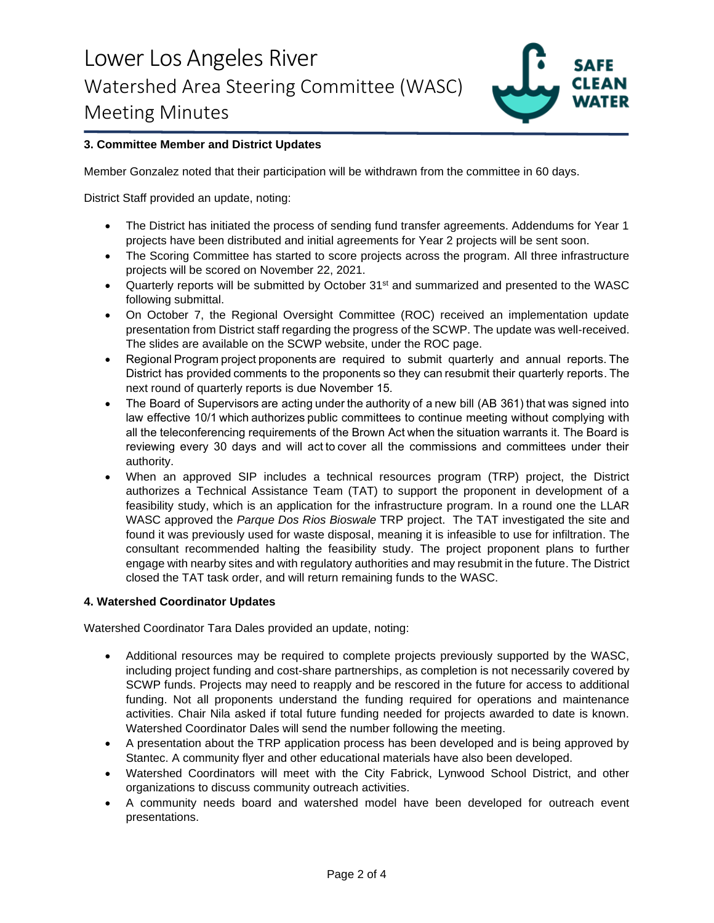

# **3. Committee Member and District Updates**

Member Gonzalez noted that their participation will be withdrawn from the committee in 60 days.

District Staff provided an update, noting:

- The District has initiated the process of sending fund transfer agreements. Addendums for Year 1 projects have been distributed and initial agreements for Year 2 projects will be sent soon.
- The Scoring Committee has started to score projects across the program. All three infrastructure projects will be scored on November 22, 2021.
- Quarterly reports will be submitted by October 31<sup>st</sup> and summarized and presented to the WASC following submittal.
- On October 7, the Regional Oversight Committee (ROC) received an implementation update presentation from District staff regarding the progress of the SCWP. The update was well-received. The slides are available on the SCWP website, under the ROC page.
- Regional Program project proponents are required to submit quarterly and annual reports. The District has provided comments to the proponents so they can resubmit their quarterly reports. The next round of quarterly reports is due November 15.
- The Board of Supervisors are acting under the authority of a new bill (AB 361) that was signed into law effective 10/1 which authorizes public committees to continue meeting without complying with all the teleconferencing requirements of the Brown Act when the situation warrants it. The Board is reviewing every 30 days and will act to cover all the commissions and committees under their authority.
- When an approved SIP includes a technical resources program (TRP) project, the District authorizes a Technical Assistance Team (TAT) to support the proponent in development of a feasibility study, which is an application for the infrastructure program. In a round one the LLAR WASC approved the *Parque Dos Rios Bioswale* TRP project. The TAT investigated the site and found it was previously used for waste disposal, meaning it is infeasible to use for infiltration. The consultant recommended halting the feasibility study. The project proponent plans to further engage with nearby sites and with regulatory authorities and may resubmit in the future. The District closed the TAT task order, and will return remaining funds to the WASC.

#### **4. Watershed Coordinator Updates**

Watershed Coordinator Tara Dales provided an update, noting:

- Additional resources may be required to complete projects previously supported by the WASC, including project funding and cost-share partnerships, as completion is not necessarily covered by SCWP funds. Projects may need to reapply and be rescored in the future for access to additional funding. Not all proponents understand the funding required for operations and maintenance activities. Chair Nila asked if total future funding needed for projects awarded to date is known. Watershed Coordinator Dales will send the number following the meeting.
- A presentation about the TRP application process has been developed and is being approved by Stantec. A community flyer and other educational materials have also been developed.
- Watershed Coordinators will meet with the City Fabrick, Lynwood School District, and other organizations to discuss community outreach activities.
- A community needs board and watershed model have been developed for outreach event presentations.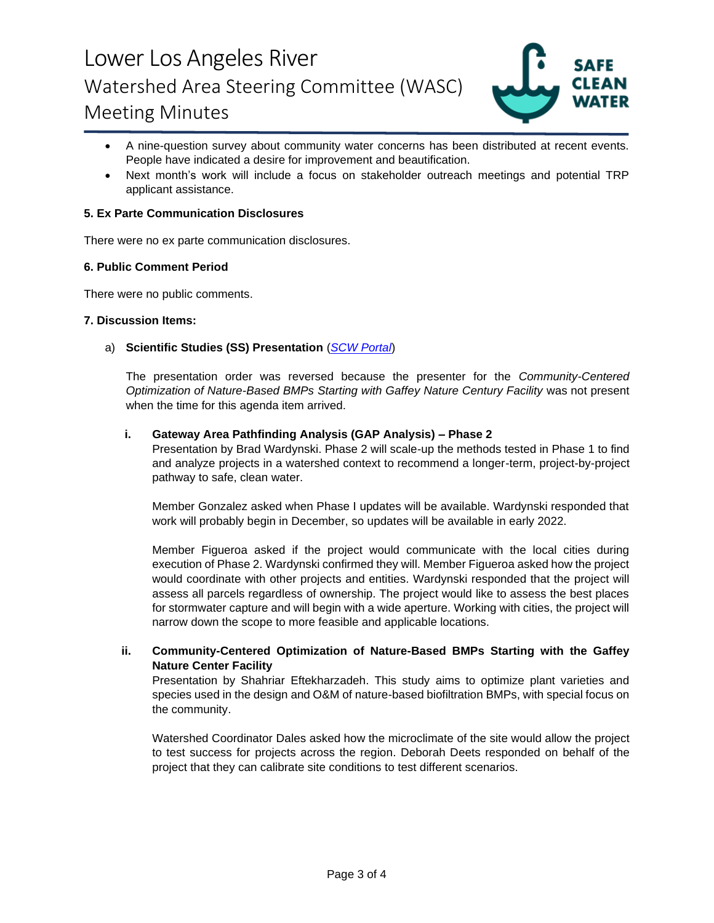# Lower Los Angeles River Watershed Area Steering Committee (WASC) Meeting Minutes



- A nine-question survey about community water concerns has been distributed at recent events. People have indicated a desire for improvement and beautification.
- Next month's work will include a focus on stakeholder outreach meetings and potential TRP applicant assistance.

## **5. Ex Parte Communication Disclosures**

There were no ex parte communication disclosures.

## **6. Public Comment Period**

There were no public comments.

#### **7. Discussion Items:**

## a) **Scientific Studies (SS) Presentation** (*[SCW Portal](https://portal.safecleanwaterla.org/scw-reporting/dashboard)*)

The presentation order was reversed because the presenter for the *Community-Centered Optimization of Nature-Based BMPs Starting with Gaffey Nature Century Facility* was not present when the time for this agenda item arrived.

#### **i. Gateway Area Pathfinding Analysis (GAP Analysis) – Phase 2**

Presentation by Brad Wardynski. Phase 2 will scale-up the methods tested in Phase 1 to find and analyze projects in a watershed context to recommend a longer-term, project-by-project pathway to safe, clean water.

Member Gonzalez asked when Phase I updates will be available. Wardynski responded that work will probably begin in December, so updates will be available in early 2022.

Member Figueroa asked if the project would communicate with the local cities during execution of Phase 2. Wardynski confirmed they will. Member Figueroa asked how the project would coordinate with other projects and entities. Wardynski responded that the project will assess all parcels regardless of ownership. The project would like to assess the best places for stormwater capture and will begin with a wide aperture. Working with cities, the project will narrow down the scope to more feasible and applicable locations.

## **ii. Community-Centered Optimization of Nature-Based BMPs Starting with the Gaffey Nature Center Facility**

Presentation by Shahriar Eftekharzadeh. This study aims to optimize plant varieties and species used in the design and O&M of nature-based biofiltration BMPs, with special focus on the community.

Watershed Coordinator Dales asked how the microclimate of the site would allow the project to test success for projects across the region. Deborah Deets responded on behalf of the project that they can calibrate site conditions to test different scenarios.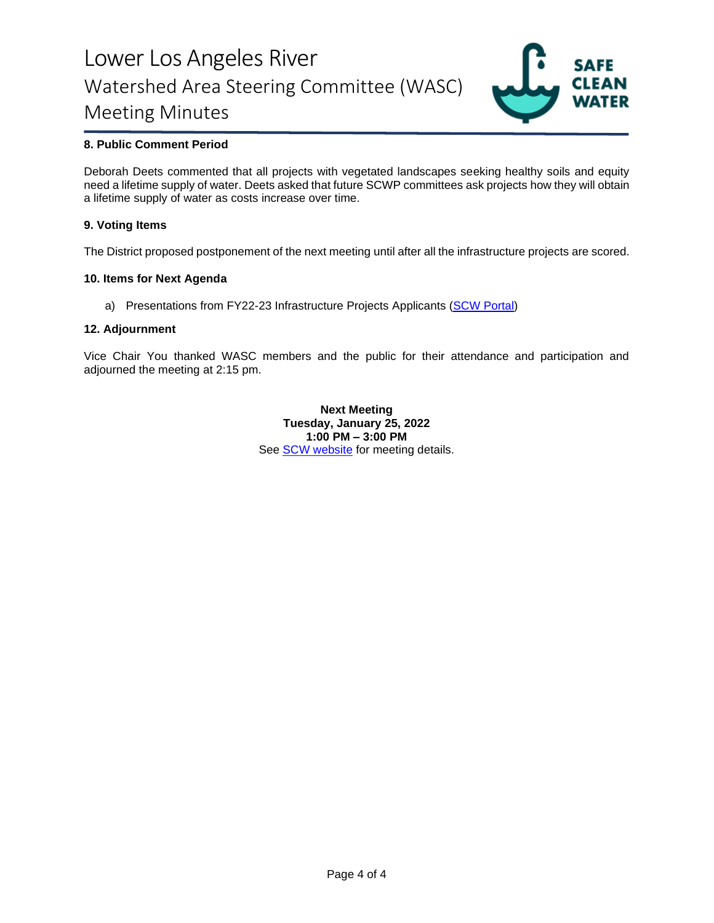# Lower Los Angeles River Watershed Area Steering Committee (WASC) Meeting Minutes



# **8. Public Comment Period**

Deborah Deets commented that all projects with vegetated landscapes seeking healthy soils and equity need a lifetime supply of water. Deets asked that future SCWP committees ask projects how they will obtain a lifetime supply of water as costs increase over time.

## **9. Voting Items**

The District proposed postponement of the next meeting until after all the infrastructure projects are scored.

#### **10. Items for Next Agenda**

a) Presentations from FY22-23 Infrastructure Projects Applicants [\(SCW Portal\)](https://portal.safecleanwaterla.org/scw-reporting/dashboard)

#### **12. Adjournment**

Vice Chair You thanked WASC members and the public for their attendance and participation and adjourned the meeting at 2:15 pm.

> **Next Meeting Tuesday, January 25, 2022 1:00 PM – 3:00 PM** See [SCW website](https://safecleanwaterla.org/lower-los-angeles-river-watershed-area/) for meeting details.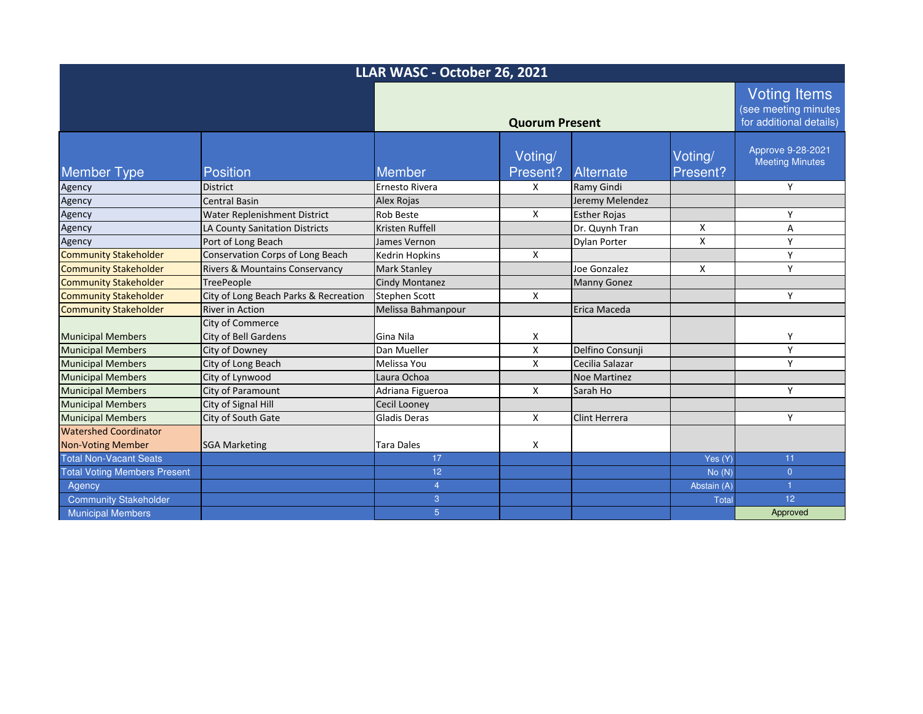| LLAR WASC - October 26, 2021        |                                                        |                       |                       |                      |                     |                                                                        |
|-------------------------------------|--------------------------------------------------------|-----------------------|-----------------------|----------------------|---------------------|------------------------------------------------------------------------|
|                                     |                                                        | <b>Quorum Present</b> |                       |                      |                     | <b>Voting Items</b><br>(see meeting minutes<br>for additional details) |
| <b>Member Type</b>                  | <b>Position</b>                                        | <b>Member</b>         | Voting/<br>Present?   | Alternate            | Voting/<br>Present? | Approve 9-28-2021<br><b>Meeting Minutes</b>                            |
| Agency                              | <b>District</b>                                        | Ernesto Rivera        | X                     | Ramy Gindi           |                     | Y                                                                      |
| Agency                              | <b>Central Basin</b>                                   | <b>Alex Rojas</b>     |                       | Jeremy Melendez      |                     |                                                                        |
| Agency                              | <b>Water Replenishment District</b>                    | <b>Rob Beste</b>      | X                     | <b>Esther Rojas</b>  |                     | Y                                                                      |
| Agency                              | LA County Sanitation Districts                         | Kristen Ruffell       |                       | Dr. Quynh Tran       | X                   | Α                                                                      |
| Agency                              | Port of Long Beach                                     | James Vernon          |                       | Dylan Porter         | X                   | Y                                                                      |
| <b>Community Stakeholder</b>        | Conservation Corps of Long Beach                       | <b>Kedrin Hopkins</b> | X                     |                      |                     | Y                                                                      |
| <b>Community Stakeholder</b>        | Rivers & Mountains Conservancy                         | <b>Mark Stanley</b>   |                       | Joe Gonzalez         | X                   | Y                                                                      |
| <b>Community Stakeholder</b>        | <b>TreePeople</b>                                      | <b>Cindy Montanez</b> |                       | <b>Manny Gonez</b>   |                     |                                                                        |
| <b>Community Stakeholder</b>        | City of Long Beach Parks & Recreation                  | <b>Stephen Scott</b>  | X                     |                      |                     | Y                                                                      |
| <b>Community Stakeholder</b>        | <b>River in Action</b>                                 | Melissa Bahmanpour    |                       | Erica Maceda         |                     |                                                                        |
| <b>Municipal Members</b>            | <b>City of Commerce</b><br><b>City of Bell Gardens</b> | Gina Nila             | Χ                     |                      |                     | Y                                                                      |
| <b>Municipal Members</b>            | City of Downey                                         | Dan Mueller           | $\mathsf{\mathsf{X}}$ | Delfino Consunji     |                     | Y                                                                      |
| <b>Municipal Members</b>            | City of Long Beach                                     | Melissa You           | X                     | Cecilia Salazar      |                     | Y                                                                      |
| <b>Municipal Members</b>            | City of Lynwood                                        | Laura Ochoa           |                       | Noe Martinez         |                     |                                                                        |
| <b>Municipal Members</b>            | City of Paramount                                      | Adriana Figueroa      | X                     | Sarah Ho             |                     | Y                                                                      |
| <b>Municipal Members</b>            | City of Signal Hill                                    | <b>Cecil Looney</b>   |                       |                      |                     |                                                                        |
| <b>Municipal Members</b>            | City of South Gate                                     | <b>Gladis Deras</b>   | X                     | <b>Clint Herrera</b> |                     | Y                                                                      |
| <b>Watershed Coordinator</b>        |                                                        |                       |                       |                      |                     |                                                                        |
| <b>Non-Voting Member</b>            | <b>SGA Marketing</b>                                   | <b>Tara Dales</b>     | X                     |                      |                     |                                                                        |
| <b>Total Non-Vacant Seats</b>       |                                                        | 17                    |                       |                      | Yes (Y)             | 11                                                                     |
| <b>Total Voting Members Present</b> |                                                        | 12                    |                       |                      | No(N)               | $\overline{0}$                                                         |
| Agency                              |                                                        | $\overline{4}$        |                       |                      | Abstain (A)         |                                                                        |
| <b>Community Stakeholder</b>        |                                                        | 3                     |                       |                      | <b>Total</b>        | 12 <sup>°</sup>                                                        |
| <b>Municipal Members</b>            |                                                        | $5\phantom{.}$        |                       |                      |                     | Approved                                                               |